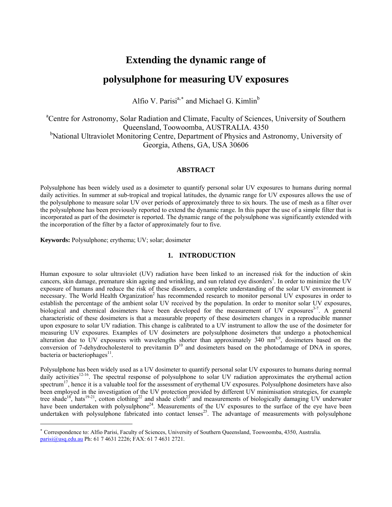# **Extending the dynamic range of**

## **polysulphone for measuring UV exposures**

Alfio V. Parisi<sup>a,\*</sup> and Michael G. Kimlin<sup>b</sup>

<sup>a</sup>Centre for Astronomy, Solar Radiation and Climate, Faculty of Sciences, University of Southern Queensland, Toowoomba, AUSTRALIA. 4350 <sup>b</sup>National Ultraviolet Monitoring Centre, Department of Physics and Astronomy, University of Georgia, Athens, GA, USA 30606

## **ABSTRACT**

Polysulphone has been widely used as a dosimeter to quantify personal solar UV exposures to humans during normal daily activities. In summer at sub-tropical and tropical latitudes, the dynamic range for UV exposures allows the use of the polysulphone to measure solar UV over periods of approximately three to six hours. The use of mesh as a filter over the polysulphone has been previously reported to extend the dynamic range. In this paper the use of a simple filter that is incorporated as part of the dosimeter is reported. The dynamic range of the polysulphone was significantly extended with the incorporation of the filter by a factor of approximately four to five.

**Keywords:** Polysulphone; erythema; UV; solar; dosimeter

<span id="page-0-0"></span>1

## **1. INTRODUCTION**

Human exposure to solar ultraviolet (UV) radiation have been linked to an increased risk for the induction of skin cancers, skin damage, premature skin ageing and wrinkling, and sun related eye disorders<sup>1</sup>. In order to minimize the UV exposure of humans and reduce the risk of these disorders, a complete understanding of the solar UV environment is necessary. The World Health Organization<sup>2</sup> has recommended research to monitor personal UV exposures in order to establish the percentage of the ambient solar UV received by the population. In order to monitor solar UV exposures, biological and chemical dosimeters have been developed for the measurement of UV exposures $3-7$ . A general characteristic of these dosimeters is that a measurable property of these dosimeters changes in a reproducible manner upon exposure to solar UV radiation. This change is calibrated to a UV instrument to allow the use of the dosimeter for measuring UV exposures. Examples of UV dosimeters are polysulphone dosimeters that undergo a photochemical alteration due to UV exposures with wavelengths shorter than approximately  $340 \text{ nm}^{8.9}$ , dosimeters based on the conversion of 7-dehydrocholesterol to previtamin  $D^{10}$  and dosimeters based on the photodamage of DNA in spores, bacteria or bacteriophages $^{11}$ .

Polysulphone has been widely used as a UV dosimeter to quantify personal solar UV exposures to humans during normal daily activities<sup>12-16</sup>. The spectral response of polysulphone to solar UV radiation approximates the erythemal action spectrum<sup>17</sup>, hence it is a valuable tool for the assessment of erythemal UV exposures. Polysulphone dosimeters have also been employed in the investigation of the UV protection provided by different UV minimisation strategies, for example tree shade<sup>18</sup>, hats<sup>19-21</sup>, cotton clothing<sup>22</sup> and shade cloth<sup>23</sup> and measurements of biologically damaging UV underwater have been undertaken with polysulphone<sup>24</sup>. Measurements of the UV exposures to the surface of the eye have been undertaken with polysulphone fabricated into contact lenses<sup>25</sup>. The advantage of measurements with polysulphone

<sup>∗</sup> Correspondence to: Alfio Parisi, Faculty of Sciences, University of Southern Queensland, Toowoomba, 4350, Australia. [parisi@usq.edu.au](mailto:parisi@usq.edu.au) Ph: 61 7 4631 2226; FAX: 61 7 4631 2721.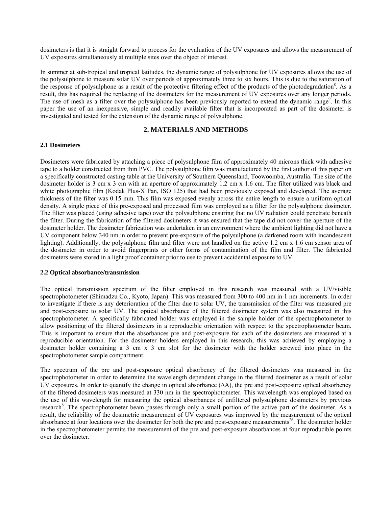dosimeters is that it is straight forward to process for the evaluation of the UV exposures and allows the measurement of UV exposures simultaneously at multiple sites over the object of interest.

In summer at sub-tropical and tropical latitudes, the dynamic range of polysulphone for UV exposures allows the use of the polysulphone to measure solar UV over periods of approximately three to six hours. This is due to the saturation of the response of polysulphone as a result of the protective filtering effect of the products of the photodegradation<sup>8</sup>. As a result, this has required the replacing of the dosimeters for the measurement of UV exposures over any longer periods. The use of mesh as a filter over the polysulphone has been previously reported to extend the dynamic range<sup>9</sup>. In this paper the use of an inexpensive, simple and readily available filter that is incorporated as part of the dosimeter is investigated and tested for the extension of the dynamic range of polysulphone.

## **2. MATERIALS AND METHODS**

### **2.1 Dosimeters**

Dosimeters were fabricated by attaching a piece of polysulphone film of approximately 40 microns thick with adhesive tape to a holder constructed from thin PVC. The polysulphone film was manufactured by the first author of this paper on a specifically constructed casting table at the University of Southern Queensland, Toowoomba, Australia. The size of the dosimeter holder is 3 cm x 3 cm with an aperture of approximately 1.2 cm x 1.6 cm. The filter utilized was black and white photographic film (Kodak Plus-X Pan, ISO 125) that had been previously exposed and developed. The average thickness of the filter was 0.15 mm. This film was exposed evenly across the entire length to ensure a uniform optical density. A single piece of this pre-exposed and processed film was employed as a filter for the polysulphone dosimeter. The filter was placed (using adhesive tape) over the polysulphone ensuring that no UV radiation could penetrate beneath the filter. During the fabrication of the filtered dosimeters it was ensured that the tape did not cover the aperture of the dosimeter holder. The dosimeter fabrication was undertaken in an environment where the ambient lighting did not have a UV component below 340 nm in order to prevent pre-exposure of the polysulphone (a darkened room with incandescent lighting). Additionally, the polysulphone film and filter were not handled on the active 1.2 cm x 1.6 cm sensor area of the dosimeter in order to avoid fingerprints or other forms of contamination of the film and filter. The fabricated dosimeters were stored in a light proof container prior to use to prevent accidental exposure to UV.

### **2.2 Optical absorbance/transmission**

The optical transmission spectrum of the filter employed in this research was measured with a UV/visible spectrophotometer (Shimadzu Co., Kyoto, Japan). This was measured from 300 to 400 nm in 1 nm increments. In order to investigate if there is any deterioration of the filter due to solar UV, the transmission of the filter was measured pre and post-exposure to solar UV. The optical absorbance of the filtered dosimeter system was also measured in this spectrophotometer. A specifically fabricated holder was employed in the sample holder of the spectrophotometer to allow positioning of the filtered dosimeters in a reproducible orientation with respect to the spectrophotometer beam. This is important to ensure that the absorbances pre and post-exposure for each of the dosimeters are measured at a reproducible orientation. For the dosimeter holders employed in this research, this was achieved by employing a dosimeter holder containing a 3 cm x 3 cm slot for the dosimeter with the holder screwed into place in the spectrophotometer sample compartment.

The spectrum of the pre and post-exposure optical absorbency of the filtered dosimeters was measured in the spectrophotometer in order to determine the wavelength dependent change in the filtered dosimeter as a result of solar UV exposures. In order to quantify the change in optical absorbance  $( \Delta A)$ , the pre and post-exposure optical absorbency of the filtered dosimeters was measured at 330 nm in the spectrophotometer. This wavelength was employed based on the use of this wavelength for measuring the optical absorbances of unfiltered polysulphone dosimeters by previous research<sup>8</sup>. The spectrophotometer beam passes through only a small portion of the active part of the dosimeter. As a result, the reliability of the dosimetric measurement of UV exposures was improved by the measurement of the optical absorbance at four locations over the dosimeter for both the pre and post-exposure measurements<sup>26</sup>. The dosimeter holder in the spectrophotometer permits the measurement of the pre and post-exposure absorbances at four reproducible points over the dosimeter.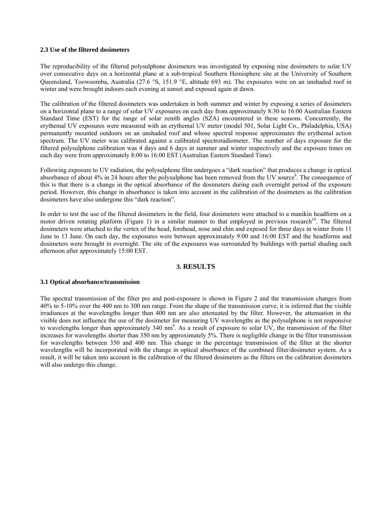## **2.3 Use of the filtered dosimeters**

The reproducibility of the filtered polysulphone dosimeters was investigated by exposing nine dosimeters to solar UV over consecutive days on a horizontal plane at a sub-tropical Southern Hemisphere site at the University of Southern Queensland, Toowoomba, Australia (27.6 °S, 151.9 °E, altitude 693 m). The exposures were on an unshaded roof in winter and were brought indoors each evening at sunset and exposed again at dawn.

The calibration of the filtered dosimeters was undertaken in both summer and winter by exposing a series of dosimeters on a horizontal plane to a range of solar UV exposures on each day from approximately 8:30 to 16:00 Australian Eastern Standard Time (EST) for the range of solar zenith angles (SZA) encountered in these seasons. Concurrently, the erythemal UV exposures were measured with an erythemal UV meter (model 501, Solar Light Co., Philadelphia, USA) permanently mounted outdoors on an unshaded roof and whose spectral response approximates the erythemal action spectrum. The UV meter was calibrated against a calibrated spectroradiometer. The number of days exposure for the filtered polysulphone calibration was 4 days and 6 days in summer and winter respectively and the exposure times on each day were from approximately 8:00 to 16:00 EST (Australian Eastern Standard Time).

Following exposure to UV radiation, the polysulphone film undergoes a "dark reaction" that produces a change in optical absorbance of about 4% in 24 hours after the polysulphone has been removed from the UV source<sup>8</sup>. The consequence of this is that there is a change in the optical absorbance of the dosimeters during each overnight period of the exposure period. However, this change in absorbance is taken into account in the calibration of the dosimeters as the calibration dosimeters have also undergone this "dark reaction".

In order to test the use of the filtered dosimeters in the field, four dosimeters were attached to a manikin headform on a motor driven rotating platform [\(Figure 1\)](#page-3-0) in a similar manner to that employed in previous research<sup>19</sup>. The filtered dosimeters were attached to the vertex of the head, forehead, nose and chin and exposed for three days in winter from 11 June to 13 June. On each day, the exposures were between approximately 9:00 and 16:00 EST and the headforms and dosimeters were brought in overnight. The site of the exposures was surrounded by buildings with partial shading each afternoon after approximately 15:00 EST.

### **3. RESULTS**

### **3.1 Optical absorbance/transmission**

The spectral transmission of the filter pre and post-exposure is shown in [Figure 2](#page-3-1) and the transmission changes from 40% to 5-10% over the 400 nm to 300 nm range. From the shape of the transmission curve, it is inferred that the visible irradiances at the wavelengths longer than 400 nm are also attenuated by the filter. However, the attenuation in the visible does not influence the use of the dosimeter for measuring UV wavelengths as the polysulphone is not responsive to wavelengths longer than approximately 340 nm<sup>9</sup>. As a result of exposure to solar UV, the transmission of the filter increases for wavelengths shorter than 350 nm by approximately 5%. There is negligible change in the filter transmission for wavelengths between 350 and 400 nm. This change in the percentage transmission of the filter at the shorter wavelengths will be incorporated with the change in optical absorbance of the combined filter/dosimeter system. As a result, it will be taken into account in the calibration of the filtered dosimeters as the filters on the calibration dosimeters will also undergo this change.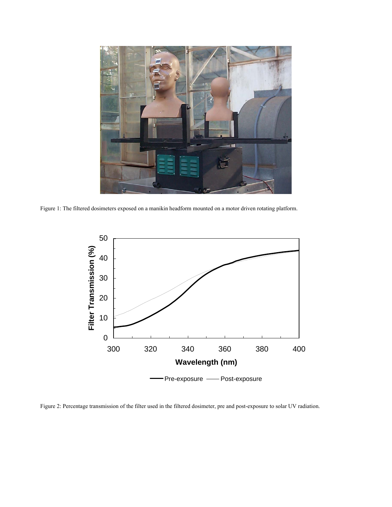

Figure 1: The filtered dosimeters exposed on a manikin headform mounted on a motor driven rotating platform.

<span id="page-3-0"></span>

<span id="page-3-1"></span>Figure 2: Percentage transmission of the filter used in the filtered dosimeter, pre and post-exposure to solar UV radiation.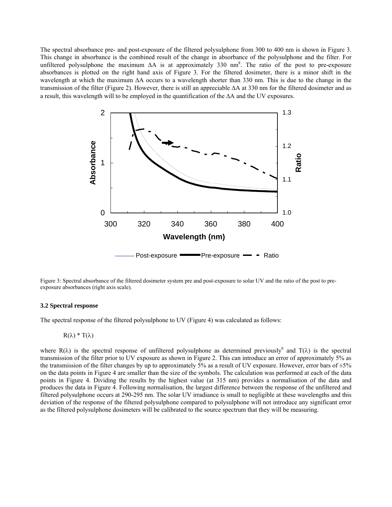The spectral absorbance pre- and post-exposure of the filtered polysulphone from 300 to 400 nm is shown in Figure 3. This change in absorbance is the combined result of the change in absorbance of the polysulphone and the filter. For unfiltered polysulphone the maximum  $\Delta A$  is at approximately 330 nm<sup>8</sup>. The ratio of the post to pre-exposure absorbances is plotted on the right hand axis of Figure 3. For the filtered dosimeter, there is a minor shift in the wavelength at which the maximum ΔA occurs to a wavelength shorter than 330 nm. This is due to the change in the transmission of the filter (Figure 2). However, there is still an appreciable ΔA at 330 nm for the filtered dosimeter and as a result, this wavelength will to be employed in the quantification of the ΔA and the UV exposures.



Figure 3: Spectral absorbance of the filtered dosimeter system pre and post-exposure to solar UV and the ratio of the post to preexposure absorbances (right axis scale).

#### **3.2 Spectral response**

The spectral response of the filtered polysulphone to UV (Figure 4) was calculated as follows:

$$
R(\lambda) * T(\lambda)
$$

where R( $\lambda$ ) is the spectral response of unfiltered polysulphone as determined previously<sup>9</sup> and T( $\lambda$ ) is the spectral transmission of the filter prior to UV exposure as shown in Figure 2. This can introduce an error of approximately 5% as the transmission of the filter changes by up to approximately 5% as a result of UV exposure. However, error bars of  $\pm 5\%$ on the data points in Figure 4 are smaller than the size of the symbols. The calculation was performed at each of the data points in Figure 4. Dividing the results by the highest value (at 315 nm) provides a normalisation of the data and produces the data in Figure 4. Following normalisation, the largest difference between the response of the unfiltered and filtered polysulphone occurs at 290-295 nm. The solar UV irradiance is small to negligible at these wavelengths and this deviation of the response of the filtered polysulphone compared to polysulphone will not introduce any significant error as the filtered polysulphone dosimeters will be calibrated to the source spectrum that they will be measuring.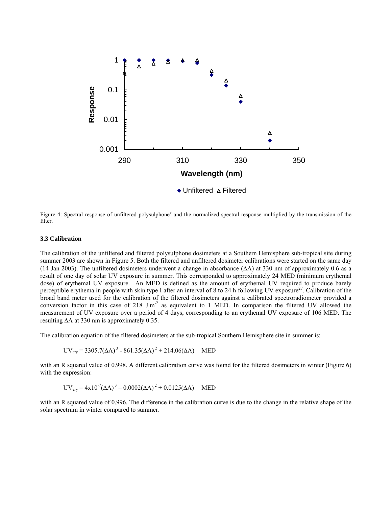

Figure 4: Spectral response of unfiltered polysulphone<sup>9</sup> and the normalized spectral response multiplied by the transmission of the filter.

#### **3.3 Calibration**

The calibration of the unfiltered and filtered polysulphone dosimeters at a Southern Hemisphere sub-tropical site during summer 2003 are shown in Figure 5. Both the filtered and unfiltered dosimeter calibrations were started on the same day (14 Jan 2003). The unfiltered dosimeters underwent a change in absorbance (ΔA) at 330 nm of approximately 0.6 as a result of one day of solar UV exposure in summer. This corresponded to approximately 24 MED (minimum erythemal dose) of erythemal UV exposure. An MED is defined as the amount of erythemal UV required to produce barely perceptible erythema in people with skin type I after an interval of 8 to 24 h following UV exposure<sup>27</sup>. Calibration of the broad band meter used for the calibration of the filtered dosimeters against a calibrated spectroradiometer provided a conversion factor in this case of 218  $J m<sup>-2</sup>$  as equivalent to 1 MED. In comparison the filtered UV allowed the measurement of UV exposure over a period of 4 days, corresponding to an erythemal UV exposure of 106 MED. The resulting ΔA at 330 nm is approximately 0.35.

The calibration equation of the filtered dosimeters at the sub-tropical Southern Hemisphere site in summer is:

$$
UV_{\text{ery}} = 3305.7(\Delta A)^3 - 861.35(\Delta A)^2 + 214.06(\Delta A)
$$
 MED

with an R squared value of 0.998. A different calibration curve was found for the filtered dosimeters in winter ([Figure 6\)](#page-6-0) with the expression:

$$
UV_{\text{ery}} = 4x10^{7} (\Delta A)^{3} - 0.0002 (\Delta A)^{2} + 0.0125 (\Delta A)
$$
 MED

with an R squared value of 0.996. The difference in the calibration curve is due to the change in the relative shape of the solar spectrum in winter compared to summer.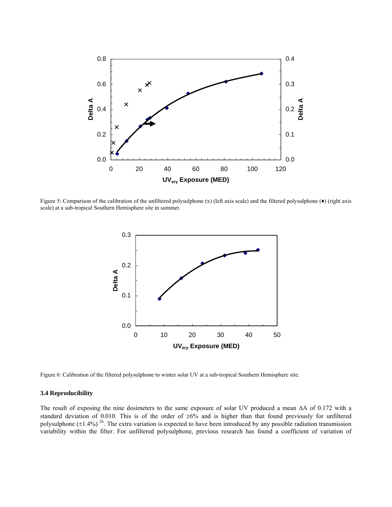

Figure 5: Comparison of the calibration of the unfiltered polysulphone (x) (left axis scale) and the filtered polysulphone (♦) (right axis scale) at a sub-tropical Southern Hemisphere site in summer.



<span id="page-6-0"></span>Figure 6: Calibration of the filtered polysulphone to winter solar UV at a sub-tropical Southern Hemisphere site.

### **3.4 Reproducibility**

The result of exposing the nine dosimeters to the same exposure of solar UV produced a mean ΔA of 0.172 with a standard deviation of 0.010. This is of the order of ±6% and is higher than that found previously for unfiltered polysulphone  $(\pm 1.4\%)$ <sup>26</sup>. The extra variation is expected to have been introduced by any possible radiation transmission variability within the filter. For unfiltered polysulphone, previous research has found a coefficient of variation of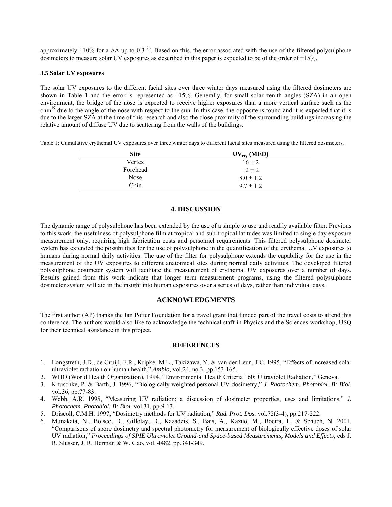approximately  $\pm 10\%$  for a  $\Delta A$  up to 0.3<sup>26</sup>. Based on this, the error associated with the use of the filtered polysulphone dosimeters to measure solar UV exposures as described in this paper is expected to be of the order of  $\pm 15\%$ .

#### **3.5 Solar UV exposures**

The solar UV exposures to the different facial sites over three winter days measured using the filtered dosimeters are shown in Table 1 and the error is represented as  $\pm 15%$ . Generally, for small solar zenith angles (SZA) in an open environment, the bridge of the nose is expected to receive higher exposures than a more vertical surface such as the  $\sinh^{19}$  due to the angle of the nose with respect to the sun. In this case, the opposite is found and it is expected that it is due to the larger SZA at the time of this research and also the close proximity of the surrounding buildings increasing the relative amount of diffuse UV due to scattering from the walls of the buildings.

Table 1: Cumulative erythemal UV exposures over three winter days to different facial sites measured using the filtered dosimeters.

| <b>Site</b> | $UV_{\text{erv}} (MED)$ |
|-------------|-------------------------|
| Vertex      | $16 \pm 2$              |
| Forehead    | $12 \pm 2$              |
| <b>Nose</b> | $8.0 \pm 1.2$           |
| Chin        | $9.7 \pm 1.2$           |

## **4. DISCUSSION**

The dynamic range of polysulphone has been extended by the use of a simple to use and readily available filter. Previous to this work, the usefulness of polysulphone film at tropical and sub-tropical latitudes was limited to single day exposure measurement only, requiring high fabrication costs and personnel requirements. This filtered polysulphone dosimeter system has extended the possibilities for the use of polysulphone in the quantification of the erythemal UV exposures to humans during normal daily activities. The use of the filter for polysulphone extends the capability for the use in the measurement of the UV exposures to different anatomical sites during normal daily activities. The developed filtered polysulphone dosimeter system will facilitate the measurement of erythemal UV exposures over a number of days. Results gained from this work indicate that longer term measurement programs, using the filtered polysulphone dosimeter system will aid in the insight into human exposures over a series of days, rather than individual days.

## **ACKNOWLEDGMENTS**

The first author (AP) thanks the Ian Potter Foundation for a travel grant that funded part of the travel costs to attend this conference. The authors would also like to acknowledge the technical staff in Physics and the Sciences workshop, USQ for their technical assistance in this project.

## **REFERENCES**

- 1. Longstreth, J.D., de Gruijl, F.R., Kripke, M.L., Takizawa, Y. & van der Leun, J.C. 1995, "Effects of increased solar ultraviolet radiation on human health," *Ambio*, vol.24, no.3, pp.153-165.
- 2. WHO (World Health Organization), 1994, "Environmental Health Criteria 160: Ultraviolet Radiation," Geneva.
- 3. Knuschke, P. & Barth, J. 1996, "Biologically weighted personal UV dosimetry," *J. Photochem. Photobiol. B: Biol.* vol.36, pp.77-83.
- 4. Webb, A.R. 1995, "Measuring UV radiation: a discussion of dosimeter properties, uses and limitations," *J. Photochem. Photobiol. B: Biol.* vol.31, pp.9-13.
- 5. Driscoll, C.M.H. 1997, "Dosimetry methods for UV radiation," *Rad. Prot. Dos*. vol.72(3-4), pp.217-222.
- 6. Munakata, N., Bolsee, D., Gillotay, D., Kazadzis, S., Bais, A., Kazuo, M., Boeira, L. & Schuch, N. 2001, "Comparisons of spore dosimetry and spectral photometry for measurement of biologically effective doses of solar UV radiation," *Proceedings of SPIE Ultraviolet Ground-and Space-based Measurements, Models and Effects*, eds J. R. Slusser, J. R. Herman & W. Gao, vol. 4482, pp.341-349.